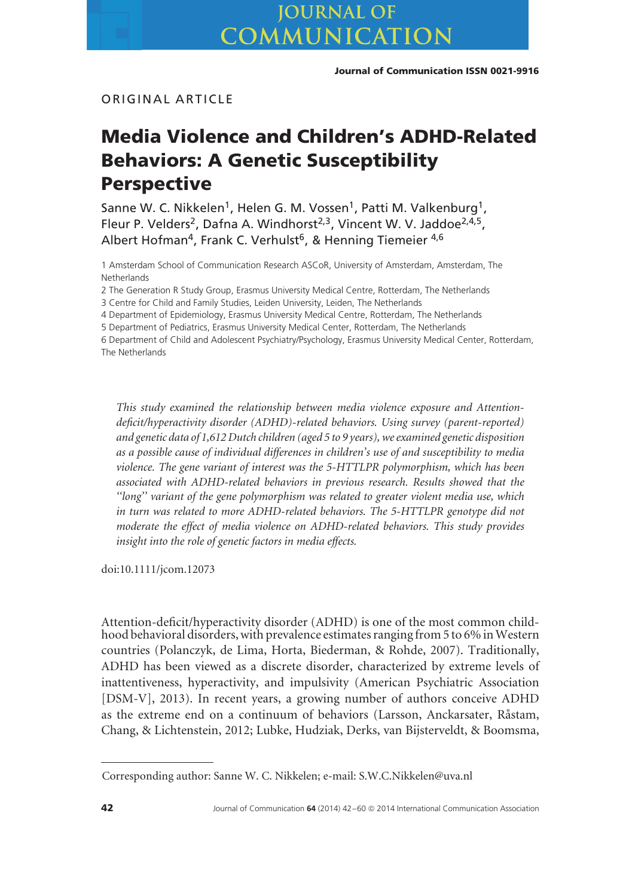# ORIGINAL ARTICLE

# **Media Violence and Children's ADHD-Related Behaviors: A Genetic Susceptibility Perspective**

Sanne W. C. Nikkelen<sup>1</sup>, Helen G. M. Vossen<sup>1</sup>, Patti M. Valkenburg<sup>1</sup>, Fleur P. Velders<sup>2</sup>, Dafna A. Windhorst<sup>2,3</sup>, Vincent W. V. Jaddoe<sup>2,4,5</sup>, Albert Hofman<sup>4</sup>, Frank C. Verhulst<sup>6</sup>, & Henning Tiemeier <sup>4,6</sup>

1 Amsterdam School of Communication Research ASCoR, University of Amsterdam, Amsterdam, The **Netherlands** 

2 The Generation R Study Group, Erasmus University Medical Centre, Rotterdam, The Netherlands

3 Centre for Child and Family Studies, Leiden University, Leiden, The Netherlands

4 Department of Epidemiology, Erasmus University Medical Centre, Rotterdam, The Netherlands

5 Department of Pediatrics, Erasmus University Medical Center, Rotterdam, The Netherlands

6 Department of Child and Adolescent Psychiatry/Psychology, Erasmus University Medical Center, Rotterdam, The Netherlands

*This study examined the relationship between media violence exposure and Attentiondeficit/hyperactivity disorder (ADHD)-related behaviors. Using survey (parent-reported) and genetic data of 1,612 Dutch children (aged 5 to 9 years), we examined genetic disposition as a possible cause of individual differences in children's use of and susceptibility to media violence. The gene variant of interest was the 5-HTTLPR polymorphism, which has been associated with ADHD-related behaviors in previous research. Results showed that the ''long'' variant of the gene polymorphism was related to greater violent media use, which in turn was related to more ADHD-related behaviors. The 5-HTTLPR genotype did not moderate the effect of media violence on ADHD-related behaviors. This study provides insight into the role of genetic factors in media effects.*

doi:10.1111/jcom.12073

Attention-deficit/hyperactivity disorder (ADHD) is one of the most common childhood behavioral disorders, with prevalence estimates ranging from 5 to 6% in Western countries (Polanczyk, de Lima, Horta, Biederman, & Rohde, 2007). Traditionally, ADHD has been viewed as a discrete disorder, characterized by extreme levels of inattentiveness, hyperactivity, and impulsivity (American Psychiatric Association [DSM-V], 2013). In recent years, a growing number of authors conceive ADHD as the extreme end on a continuum of behaviors (Larsson, Anckarsater, Råstam, Chang, & Lichtenstein, 2012; Lubke, Hudziak, Derks, van Bijsterveldt, & Boomsma,

Corresponding author: Sanne W. C. Nikkelen; e-mail: S.W.C.Nikkelen@uva.nl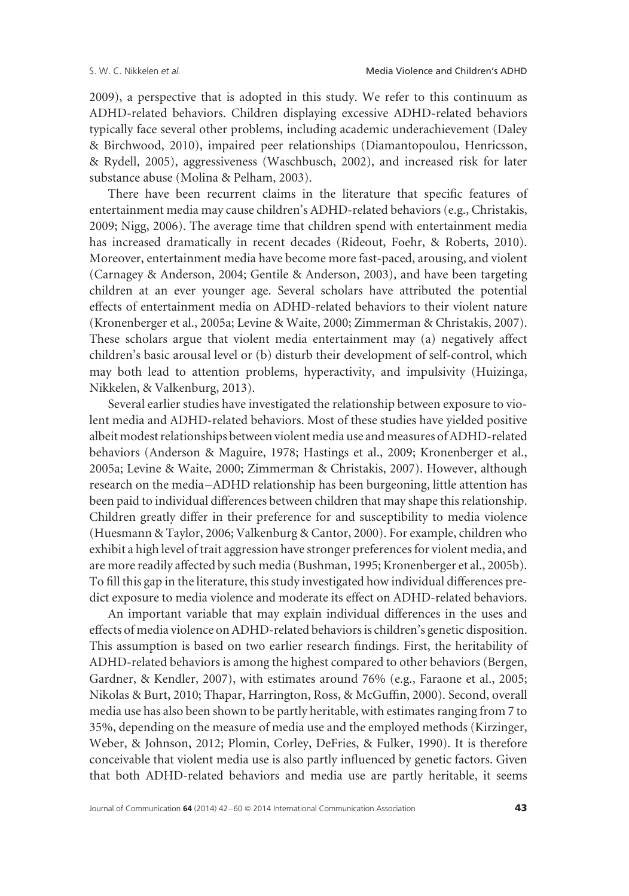2009), a perspective that is adopted in this study. We refer to this continuum as ADHD-related behaviors. Children displaying excessive ADHD-related behaviors typically face several other problems, including academic underachievement (Daley & Birchwood, 2010), impaired peer relationships (Diamantopoulou, Henricsson, & Rydell, 2005), aggressiveness (Waschbusch, 2002), and increased risk for later substance abuse (Molina & Pelham, 2003).

There have been recurrent claims in the literature that specific features of entertainment media may cause children's ADHD-related behaviors (e.g., Christakis, 2009; Nigg, 2006). The average time that children spend with entertainment media has increased dramatically in recent decades (Rideout, Foehr, & Roberts, 2010). Moreover, entertainment media have become more fast-paced, arousing, and violent (Carnagey & Anderson, 2004; Gentile & Anderson, 2003), and have been targeting children at an ever younger age. Several scholars have attributed the potential effects of entertainment media on ADHD-related behaviors to their violent nature (Kronenberger et al., 2005a; Levine & Waite, 2000; Zimmerman & Christakis, 2007). These scholars argue that violent media entertainment may (a) negatively affect children's basic arousal level or (b) disturb their development of self-control, which may both lead to attention problems, hyperactivity, and impulsivity (Huizinga, Nikkelen, & Valkenburg, 2013).

Several earlier studies have investigated the relationship between exposure to violent media and ADHD-related behaviors. Most of these studies have yielded positive albeit modest relationships between violent media use and measures of ADHD-related behaviors (Anderson & Maguire, 1978; Hastings et al., 2009; Kronenberger et al., 2005a; Levine & Waite, 2000; Zimmerman & Christakis, 2007). However, although research on the media–ADHD relationship has been burgeoning, little attention has been paid to individual differences between children that may shape this relationship. Children greatly differ in their preference for and susceptibility to media violence (Huesmann & Taylor, 2006; Valkenburg & Cantor, 2000). For example, children who exhibit a high level of trait aggression have stronger preferences for violent media, and are more readily affected by such media (Bushman, 1995; Kronenberger et al., 2005b). To fill this gap in the literature, this study investigated how individual differences predict exposure to media violence and moderate its effect on ADHD-related behaviors.

An important variable that may explain individual differences in the uses and effects of media violence on ADHD-related behaviors is children's genetic disposition. This assumption is based on two earlier research findings. First, the heritability of ADHD-related behaviors is among the highest compared to other behaviors (Bergen, Gardner, & Kendler, 2007), with estimates around 76% (e.g., Faraone et al., 2005; Nikolas & Burt, 2010; Thapar, Harrington, Ross, & McGuffin, 2000). Second, overall media use has also been shown to be partly heritable, with estimates ranging from 7 to 35%, depending on the measure of media use and the employed methods (Kirzinger, Weber, & Johnson, 2012; Plomin, Corley, DeFries, & Fulker, 1990). It is therefore conceivable that violent media use is also partly influenced by genetic factors. Given that both ADHD-related behaviors and media use are partly heritable, it seems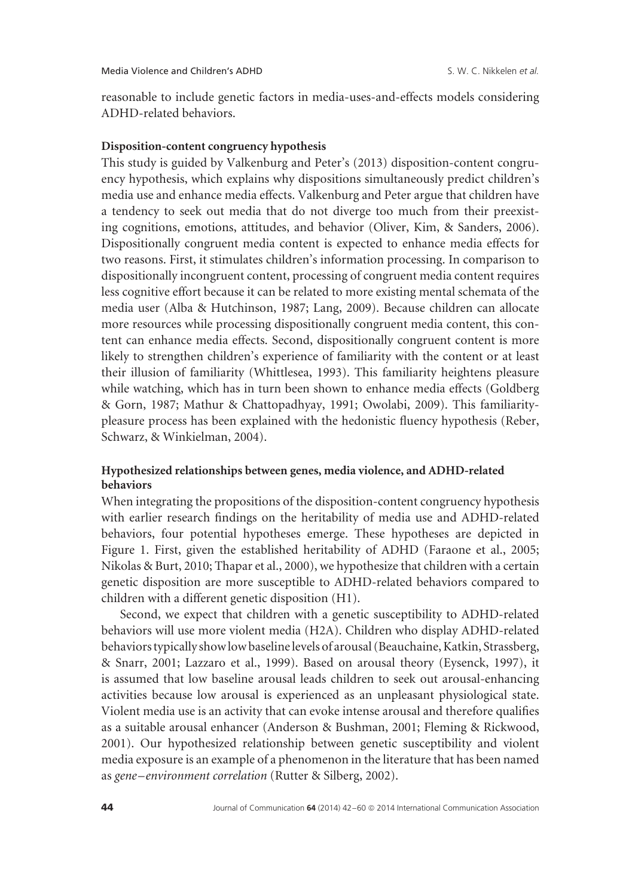reasonable to include genetic factors in media-uses-and-effects models considering ADHD-related behaviors.

## **Disposition-content congruency hypothesis**

This study is guided by Valkenburg and Peter's (2013) disposition-content congruency hypothesis, which explains why dispositions simultaneously predict children's media use and enhance media effects. Valkenburg and Peter argue that children have a tendency to seek out media that do not diverge too much from their preexisting cognitions, emotions, attitudes, and behavior (Oliver, Kim, & Sanders, 2006). Dispositionally congruent media content is expected to enhance media effects for two reasons. First, it stimulates children's information processing. In comparison to dispositionally incongruent content, processing of congruent media content requires less cognitive effort because it can be related to more existing mental schemata of the media user (Alba & Hutchinson, 1987; Lang, 2009). Because children can allocate more resources while processing dispositionally congruent media content, this content can enhance media effects. Second, dispositionally congruent content is more likely to strengthen children's experience of familiarity with the content or at least their illusion of familiarity (Whittlesea, 1993). This familiarity heightens pleasure while watching, which has in turn been shown to enhance media effects (Goldberg & Gorn, 1987; Mathur & Chattopadhyay, 1991; Owolabi, 2009). This familiaritypleasure process has been explained with the hedonistic fluency hypothesis (Reber, Schwarz, & Winkielman, 2004).

# **Hypothesized relationships between genes, media violence, and ADHD-related behaviors**

When integrating the propositions of the disposition-content congruency hypothesis with earlier research findings on the heritability of media use and ADHD-related behaviors, four potential hypotheses emerge. These hypotheses are depicted in Figure 1. First, given the established heritability of ADHD (Faraone et al., 2005; Nikolas & Burt, 2010; Thapar et al., 2000), we hypothesize that children with a certain genetic disposition are more susceptible to ADHD-related behaviors compared to children with a different genetic disposition (H1).

Second, we expect that children with a genetic susceptibility to ADHD-related behaviors will use more violent media (H2A). Children who display ADHD-related behaviors typically show low baseline levels of arousal (Beauchaine, Katkin, Strassberg, & Snarr, 2001; Lazzaro et al., 1999). Based on arousal theory (Eysenck, 1997), it is assumed that low baseline arousal leads children to seek out arousal-enhancing activities because low arousal is experienced as an unpleasant physiological state. Violent media use is an activity that can evoke intense arousal and therefore qualifies as a suitable arousal enhancer (Anderson & Bushman, 2001; Fleming & Rickwood, 2001). Our hypothesized relationship between genetic susceptibility and violent media exposure is an example of a phenomenon in the literature that has been named as *gene–environment correlation* (Rutter & Silberg, 2002).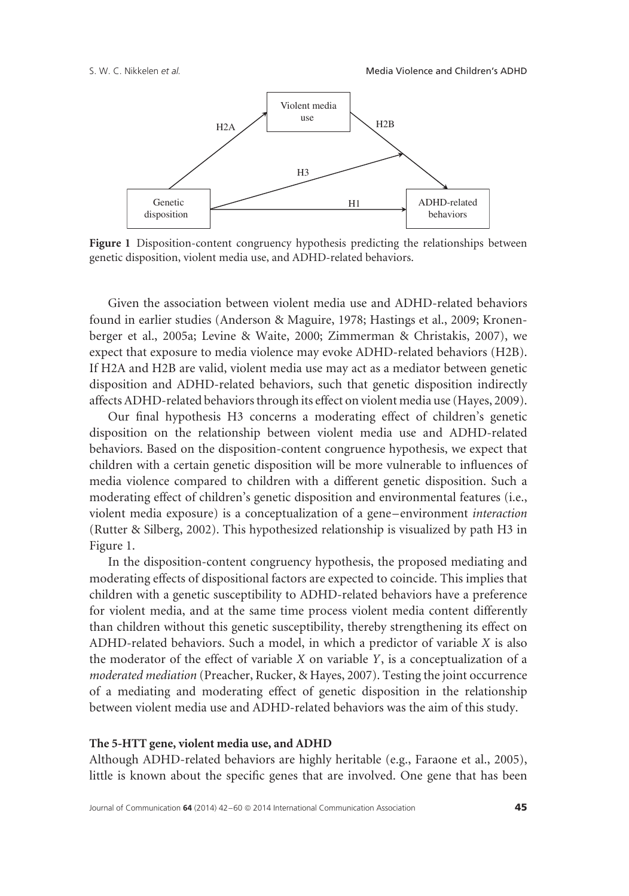

**Figure 1** Disposition-content congruency hypothesis predicting the relationships between genetic disposition, violent media use, and ADHD-related behaviors.

Given the association between violent media use and ADHD-related behaviors found in earlier studies (Anderson & Maguire, 1978; Hastings et al., 2009; Kronenberger et al., 2005a; Levine & Waite, 2000; Zimmerman & Christakis, 2007), we expect that exposure to media violence may evoke ADHD-related behaviors (H2B). If H2A and H2B are valid, violent media use may act as a mediator between genetic disposition and ADHD-related behaviors, such that genetic disposition indirectly affects ADHD-related behaviors through its effect on violent media use (Hayes, 2009).

Our final hypothesis H3 concerns a moderating effect of children's genetic disposition on the relationship between violent media use and ADHD-related behaviors. Based on the disposition-content congruence hypothesis, we expect that children with a certain genetic disposition will be more vulnerable to influences of media violence compared to children with a different genetic disposition. Such a moderating effect of children's genetic disposition and environmental features (i.e., violent media exposure) is a conceptualization of a gene–environment *interaction* (Rutter & Silberg, 2002). This hypothesized relationship is visualized by path H3 in Figure 1.

In the disposition-content congruency hypothesis, the proposed mediating and moderating effects of dispositional factors are expected to coincide. This implies that children with a genetic susceptibility to ADHD-related behaviors have a preference for violent media, and at the same time process violent media content differently than children without this genetic susceptibility, thereby strengthening its effect on ADHD-related behaviors. Such a model, in which a predictor of variable *X* is also the moderator of the effect of variable *X* on variable *Y*, is a conceptualization of a *moderated mediation* (Preacher, Rucker, & Hayes, 2007). Testing the joint occurrence of a mediating and moderating effect of genetic disposition in the relationship between violent media use and ADHD-related behaviors was the aim of this study.

### **The 5-HTT gene, violent media use, and ADHD**

Although ADHD-related behaviors are highly heritable (e.g., Faraone et al., 2005), little is known about the specific genes that are involved. One gene that has been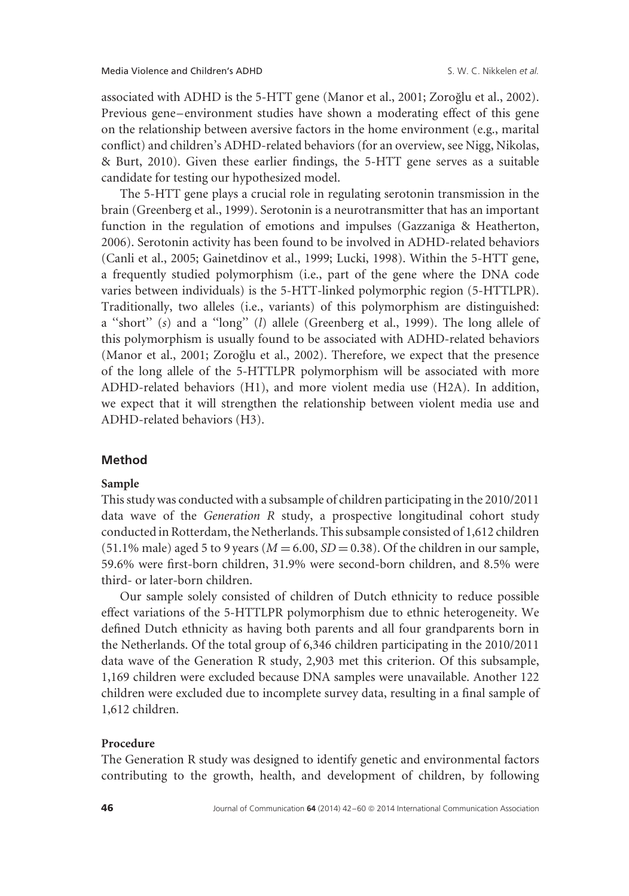associated with ADHD is the 5-HTT gene (Manor et al., 2001; Zoroğlu et al., 2002). Previous gene–environment studies have shown a moderating effect of this gene on the relationship between aversive factors in the home environment (e.g., marital conflict) and children's ADHD-related behaviors (for an overview, see Nigg, Nikolas, & Burt, 2010). Given these earlier findings, the 5-HTT gene serves as a suitable candidate for testing our hypothesized model.

The 5-HTT gene plays a crucial role in regulating serotonin transmission in the brain (Greenberg et al., 1999). Serotonin is a neurotransmitter that has an important function in the regulation of emotions and impulses (Gazzaniga & Heatherton, 2006). Serotonin activity has been found to be involved in ADHD-related behaviors (Canli et al., 2005; Gainetdinov et al., 1999; Lucki, 1998). Within the 5-HTT gene, a frequently studied polymorphism (i.e., part of the gene where the DNA code varies between individuals) is the 5-HTT-linked polymorphic region (5-HTTLPR). Traditionally, two alleles (i.e., variants) of this polymorphism are distinguished: a ''short'' (*s*) and a ''long'' (*l*) allele (Greenberg et al., 1999). The long allele of this polymorphism is usually found to be associated with ADHD-related behaviors (Manor et al., 2001; Zoroğlu et al., 2002). Therefore, we expect that the presence of the long allele of the 5-HTTLPR polymorphism will be associated with more ADHD-related behaviors (H1), and more violent media use (H2A). In addition, we expect that it will strengthen the relationship between violent media use and ADHD-related behaviors (H3).

### **Method**

# **Sample**

This study was conducted with a subsample of children participating in the 2010/2011 data wave of the *Generation R* study, a prospective longitudinal cohort study conducted in Rotterdam, the Netherlands. This subsample consisted of 1,612 children (51.1% male) aged 5 to 9 years ( $M = 6.00$ ,  $SD = 0.38$ ). Of the children in our sample, 59.6% were first-born children, 31.9% were second-born children, and 8.5% were third- or later-born children.

Our sample solely consisted of children of Dutch ethnicity to reduce possible effect variations of the 5-HTTLPR polymorphism due to ethnic heterogeneity. We defined Dutch ethnicity as having both parents and all four grandparents born in the Netherlands. Of the total group of 6,346 children participating in the 2010/2011 data wave of the Generation R study, 2,903 met this criterion. Of this subsample, 1,169 children were excluded because DNA samples were unavailable. Another 122 children were excluded due to incomplete survey data, resulting in a final sample of 1,612 children.

### **Procedure**

The Generation R study was designed to identify genetic and environmental factors contributing to the growth, health, and development of children, by following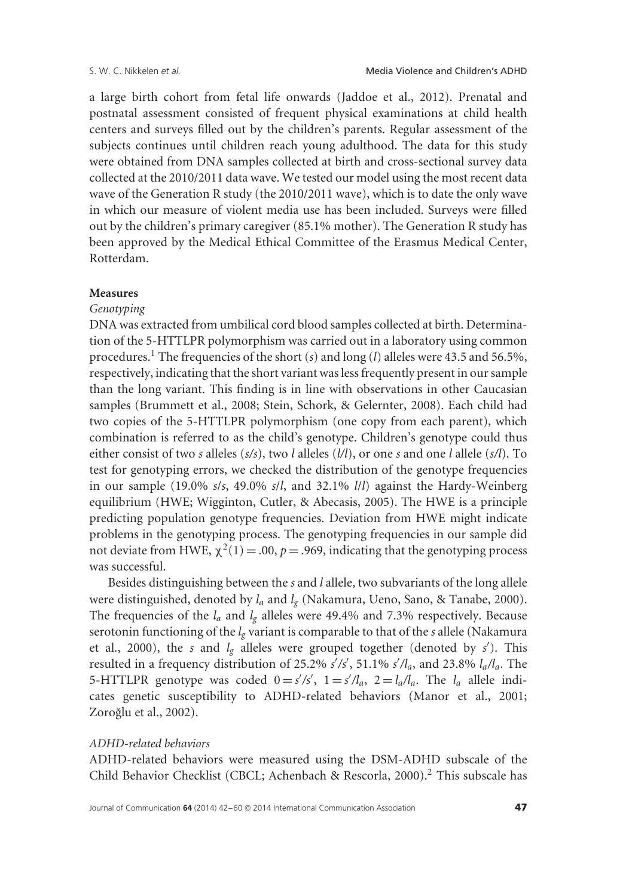a large birth cohort from fetal life onwards (Jaddoe et al., 2012). Prenatal and postnatal assessment consisted of frequent physical examinations at child health centers and surveys filled out by the children's parents. Regular assessment of the subjects continues until children reach young adulthood. The data for this study were obtained from DNA samples collected at birth and cross-sectional survey data collected at the 2010/2011 data wave. We tested our model using the most recent data wave of the Generation R study (the 2010/2011 wave), which is to date the only wave in which our measure of violent media use has been included. Surveys were filled out by the children's primary caregiver (85.1% mother). The Generation R study has been approved by the Medical Ethical Committee of the Erasmus Medical Center, Rotterdam.

### **Measures**

### *Genotyping*

DNA was extracted from umbilical cord blood samples collected at birth. Determination of the 5-HTTLPR polymorphism was carried out in a laboratory using common procedures.1 The frequencies of the short (*s*) and long (*l*) alleles were 43.5 and 56.5%, respectively, indicating that the short variant was less frequently present in our sample than the long variant. This finding is in line with observations in other Caucasian samples (Brummett et al., 2008; Stein, Schork, & Gelernter, 2008). Each child had two copies of the 5-HTTLPR polymorphism (one copy from each parent), which combination is referred to as the child's genotype. Children's genotype could thus either consist of two *s* alleles (*s/s*), two *l* alleles (*l/l*), or one *s* and one *l* allele (*s/l*). To test for genotyping errors, we checked the distribution of the genotype frequencies in our sample (19.0% *s*/*s*, 49.0% *s*/*l*, and 32.1% *l*/*l*) against the Hardy-Weinberg equilibrium (HWE; Wigginton, Cutler, & Abecasis, 2005). The HWE is a principle predicting population genotype frequencies. Deviation from HWE might indicate problems in the genotyping process. The genotyping frequencies in our sample did not deviate from HWE,  $\chi^2(1) = .00$ ,  $p = .969$ , indicating that the genotyping process was successful.

Besides distinguishing between the *s* and *l* allele, two subvariants of the long allele were distinguished, denoted by *la* and *lg* (Nakamura, Ueno, Sano, & Tanabe, 2000). The frequencies of the  $l_a$  and  $l_g$  alleles were 49.4% and 7.3% respectively. Because serotonin functioning of the *lg* variant is comparable to that of the *s* allele (Nakamura et al., 2000), the *s* and *l<sub>g</sub>* alleles were grouped together (denoted by *s'*). This resulted in a frequency distribution of 25.2% *s'/s'*, 51.1% *s'/l<sub>a</sub>*, and 23.8% *l<sub>a</sub>/l<sub>a</sub>*. The 5-HTTLPR genotype was coded  $0 = s'/s'$ ,  $1 = s'/l_a$ ,  $2 = l_a/l_a$ . The  $l_a$  allele indicates genetic susceptibility to ADHD-related behaviors (Manor et al., 2001; Zoroğlu et al., 2002).

### *ADHD-related behaviors*

ADHD-related behaviors were measured using the DSM-ADHD subscale of the Child Behavior Checklist (CBCL; Achenbach & Rescorla, 2000).<sup>2</sup> This subscale has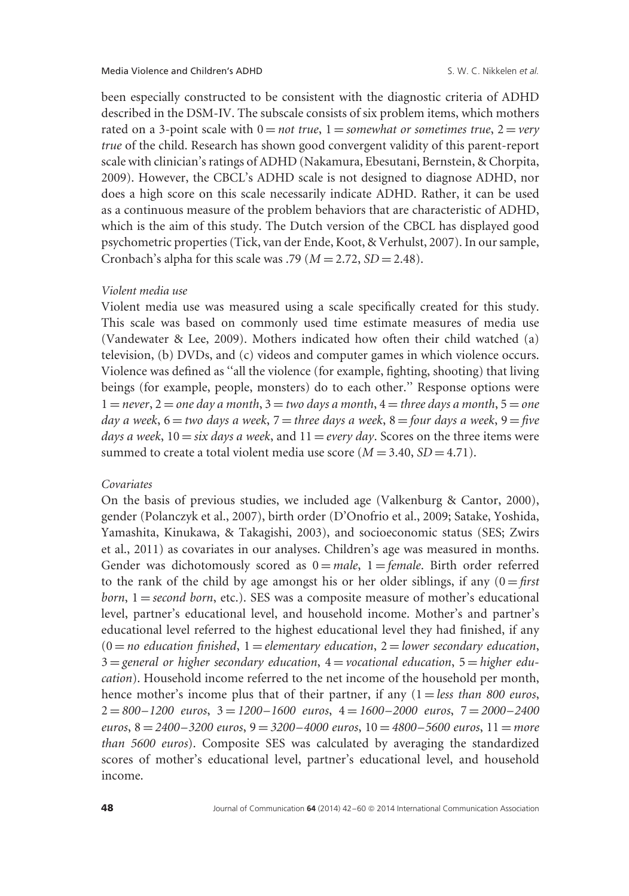been especially constructed to be consistent with the diagnostic criteria of ADHD described in the DSM-IV. The subscale consists of six problem items, which mothers rated on a 3-point scale with  $0 = not true$ ,  $1 = somewhat$  or sometimes true,  $2 = very$ *true* of the child. Research has shown good convergent validity of this parent-report scale with clinician's ratings of ADHD (Nakamura, Ebesutani, Bernstein, & Chorpita, 2009). However, the CBCL's ADHD scale is not designed to diagnose ADHD, nor does a high score on this scale necessarily indicate ADHD. Rather, it can be used as a continuous measure of the problem behaviors that are characteristic of ADHD, which is the aim of this study. The Dutch version of the CBCL has displayed good psychometric properties (Tick, van der Ende, Koot, & Verhulst, 2007). In our sample, Cronbach's alpha for this scale was .79 ( $M = 2.72$ ,  $SD = 2.48$ ).

### *Violent media use*

Violent media use was measured using a scale specifically created for this study. This scale was based on commonly used time estimate measures of media use (Vandewater & Lee, 2009). Mothers indicated how often their child watched (a) television, (b) DVDs, and (c) videos and computer games in which violence occurs. Violence was defined as ''all the violence (for example, fighting, shooting) that living beings (for example, people, monsters) do to each other.'' Response options were  $1 =$  *never*,  $2 =$  *one day a month*,  $3 =$  *two days a month*,  $4 =$  *three days a month*,  $5 =$  *one day a week*, 6 = *two days a week*, 7 = *three days a week*, 8 = *four days a week*, 9 = *five days a week*,  $10 = \text{s}$ *ix days a week*, and  $11 = \text{every day}$ . Scores on the three items were summed to create a total violent media use score  $(M = 3.40, SD = 4.71)$ .

## *Covariates*

On the basis of previous studies, we included age (Valkenburg & Cantor, 2000), gender (Polanczyk et al., 2007), birth order (D'Onofrio et al., 2009; Satake, Yoshida, Yamashita, Kinukawa, & Takagishi, 2003), and socioeconomic status (SES; Zwirs et al., 2011) as covariates in our analyses. Children's age was measured in months. Gender was dichotomously scored as  $0 = male$ ,  $1 = female$ . Birth order referred to the rank of the child by age amongst his or her older siblings, if any  $(0 = \text{first})$ *born*,  $1 =$  *second born*, etc.). SES was a composite measure of mother's educational level, partner's educational level, and household income. Mother's and partner's educational level referred to the highest educational level they had finished, if any  $(0 = no$  education finished,  $1 =$  elementary education,  $2 =$  *lower secondary education*, 3 = *general or higher secondary education*, 4 = *vocational education*, 5 = *higher education*). Household income referred to the net income of the household per month, hence mother's income plus that of their partner, if any  $(1 = less than 800 euros,$ 2 = *800–1200 euros*, 3 = *1200–1600 euros*, 4 = *1600–2000 euros*, 7 = *2000–2400 euros*, 8 = *2400–3200 euros*, 9 = *3200–4000 euros*, 10 = *4800–5600 euros*, 11 = *more than 5600 euros*). Composite SES was calculated by averaging the standardized scores of mother's educational level, partner's educational level, and household income.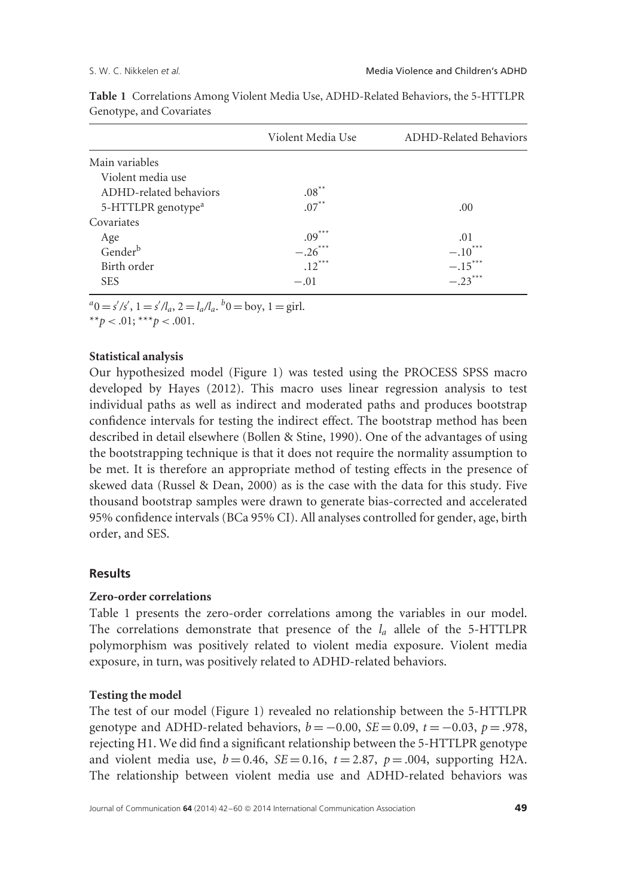|                                | Violent Media Use | <b>ADHD-Related Behaviors</b> |  |
|--------------------------------|-------------------|-------------------------------|--|
| Main variables                 |                   |                               |  |
| Violent media use              |                   |                               |  |
| ADHD-related behaviors         | $.08***$          |                               |  |
| 5-HTTLPR genotype <sup>a</sup> | $.07***$          | .00                           |  |
| Covariates                     |                   |                               |  |
| Age                            | $.09***$          | .01                           |  |
| Genderb                        | $-.26***$         | $-.10***$                     |  |
| Birth order                    | $.12***$          | $-.15***$                     |  |
| <b>SES</b>                     | $-.01$            | $-.23***$                     |  |

**Table 1** Correlations Among Violent Media Use, ADHD-Related Behaviors, the 5-HTTLPR Genotype, and Covariates

 $a^a = s'/s'$ ,  $1 = s'/l_a$ ,  $2 = l_a/l_a$ .  $b = b$ oy,  $1 = \text{girl}$ .

\*\* $p < .01$ ; \*\*\* $p < .001$ .

# **Statistical analysis**

Our hypothesized model (Figure 1) was tested using the PROCESS SPSS macro developed by Hayes (2012). This macro uses linear regression analysis to test individual paths as well as indirect and moderated paths and produces bootstrap confidence intervals for testing the indirect effect. The bootstrap method has been described in detail elsewhere (Bollen & Stine, 1990). One of the advantages of using the bootstrapping technique is that it does not require the normality assumption to be met. It is therefore an appropriate method of testing effects in the presence of skewed data (Russel & Dean, 2000) as is the case with the data for this study. Five thousand bootstrap samples were drawn to generate bias-corrected and accelerated 95% confidence intervals (BCa 95% CI). All analyses controlled for gender, age, birth order, and SES.

# **Results**

# **Zero-order correlations**

Table 1 presents the zero-order correlations among the variables in our model. The correlations demonstrate that presence of the *la* allele of the 5-HTTLPR polymorphism was positively related to violent media exposure. Violent media exposure, in turn, was positively related to ADHD-related behaviors.

# **Testing the model**

The test of our model (Figure 1) revealed no relationship between the 5-HTTLPR genotype and ADHD-related behaviors,  $b = -0.00$ , *SE* = 0.09,  $t = -0.03$ ,  $p = .978$ , rejecting H1. We did find a significant relationship between the 5-HTTLPR genotype and violent media use,  $b = 0.46$ ,  $SE = 0.16$ ,  $t = 2.87$ ,  $p = .004$ , supporting H2A. The relationship between violent media use and ADHD-related behaviors was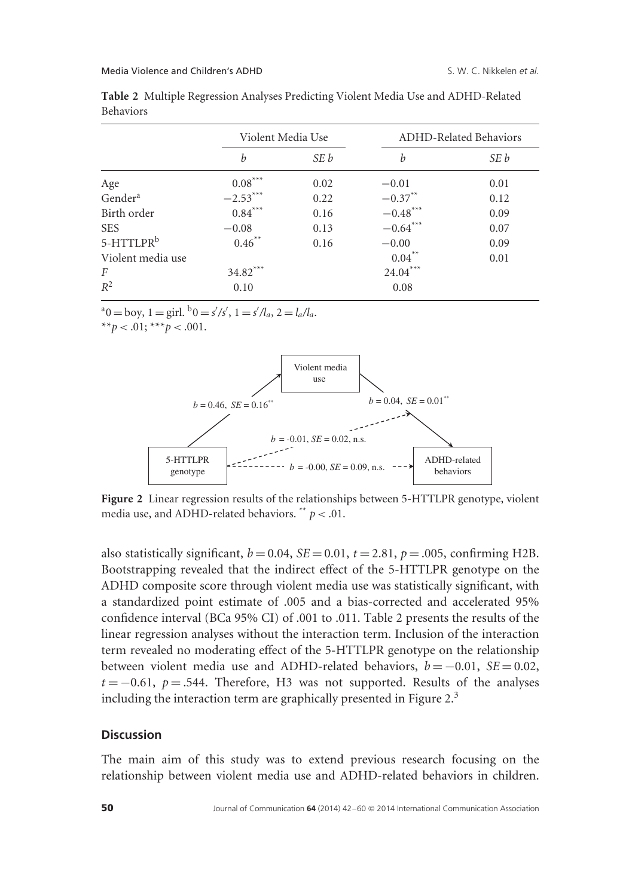|                       |            | Violent Media Use |                      | <b>ADHD-Related Behaviors</b> |  |
|-----------------------|------------|-------------------|----------------------|-------------------------------|--|
|                       | b          | SE b              | h                    | SE b                          |  |
| Age                   | $0.08***$  | 0.02              | $-0.01$              | 0.01                          |  |
| Gender <sup>a</sup>   | $-2.53***$ | 0.22              | $-0.37**$            | 0.12                          |  |
| Birth order           | $0.84***$  | 0.16              | $-0.48***$           | 0.09                          |  |
| <b>SES</b>            | $-0.08$    | 0.13              | $-0.64***$           | 0.07                          |  |
| 5-HTTLPR <sup>b</sup> | $0.46***$  | 0.16              | $-0.00$              | 0.09                          |  |
| Violent media use     |            |                   | $0.04$ <sup>**</sup> | 0.01                          |  |
| F                     | $34.82***$ |                   | $24.04***$           |                               |  |
| $R^2$                 | 0.10       |                   | 0.08                 |                               |  |

**Table 2** Multiple Regression Analyses Predicting Violent Media Use and ADHD-Related Behaviors

 $a_0 = \text{boy}, 1 = \text{girl.} \ b_0 = \frac{s}{s'}, 1 = \frac{s}{l_a}, 2 = \frac{l_a}{l_a}.$ 

\*\* $p < .01$ ; \*\*\* $p < .001$ .



**Figure 2** Linear regression results of the relationships between 5-HTTLPR genotype, violent media use, and ADHD-related behaviors. \*\*  $p < .01$ .

also statistically significant,  $b = 0.04$ ,  $SE = 0.01$ ,  $t = 2.81$ ,  $p = .005$ , confirming H2B. Bootstrapping revealed that the indirect effect of the 5-HTTLPR genotype on the ADHD composite score through violent media use was statistically significant, with a standardized point estimate of .005 and a bias-corrected and accelerated 95% confidence interval (BCa 95% CI) of .001 to .011. Table 2 presents the results of the linear regression analyses without the interaction term. Inclusion of the interaction term revealed no moderating effect of the 5-HTTLPR genotype on the relationship between violent media use and ADHD-related behaviors,  $b = -0.01$ ,  $SE = 0.02$ ,  $t = -0.61$ ,  $p = .544$ . Therefore, H3 was not supported. Results of the analyses including the interaction term are graphically presented in Figure  $2<sup>3</sup>$ 

# **Discussion**

The main aim of this study was to extend previous research focusing on the relationship between violent media use and ADHD-related behaviors in children.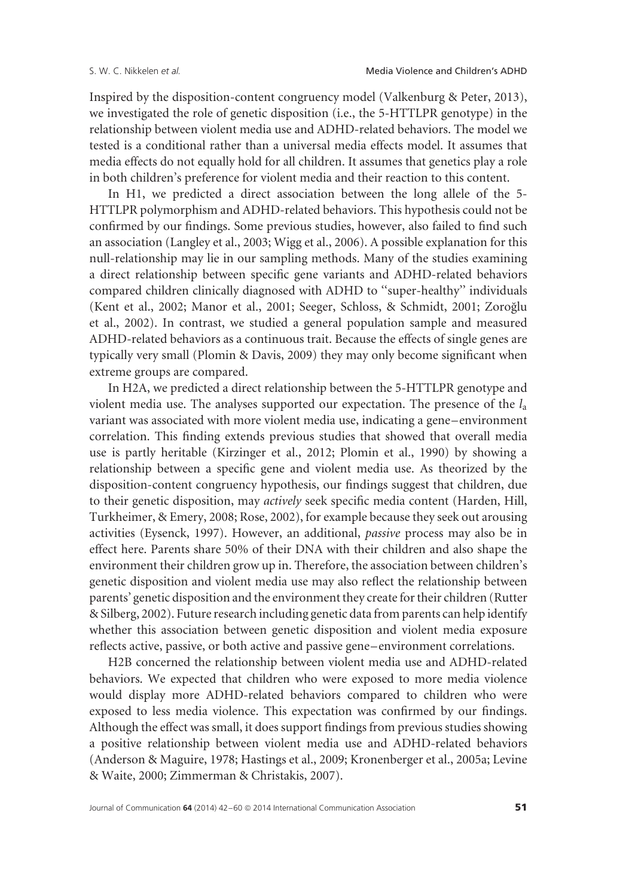Inspired by the disposition-content congruency model (Valkenburg & Peter, 2013), we investigated the role of genetic disposition (i.e., the 5-HTTLPR genotype) in the relationship between violent media use and ADHD-related behaviors. The model we tested is a conditional rather than a universal media effects model. It assumes that media effects do not equally hold for all children. It assumes that genetics play a role in both children's preference for violent media and their reaction to this content.

In H1, we predicted a direct association between the long allele of the 5- HTTLPR polymorphism and ADHD-related behaviors. This hypothesis could not be confirmed by our findings. Some previous studies, however, also failed to find such an association (Langley et al., 2003; Wigg et al., 2006). A possible explanation for this null-relationship may lie in our sampling methods. Many of the studies examining a direct relationship between specific gene variants and ADHD-related behaviors compared children clinically diagnosed with ADHD to ''super-healthy'' individuals (Kent et al., 2002; Manor et al., 2001; Seeger, Schloss, & Schmidt, 2001; Zoroğlu et al., 2002). In contrast, we studied a general population sample and measured ADHD-related behaviors as a continuous trait. Because the effects of single genes are typically very small (Plomin & Davis, 2009) they may only become significant when extreme groups are compared.

In H2A, we predicted a direct relationship between the 5-HTTLPR genotype and violent media use. The analyses supported our expectation. The presence of the *l*<sup>a</sup> variant was associated with more violent media use, indicating a gene–environment correlation. This finding extends previous studies that showed that overall media use is partly heritable (Kirzinger et al., 2012; Plomin et al., 1990) by showing a relationship between a specific gene and violent media use. As theorized by the disposition-content congruency hypothesis, our findings suggest that children, due to their genetic disposition, may *actively* seek specific media content (Harden, Hill, Turkheimer, & Emery, 2008; Rose, 2002), for example because they seek out arousing activities (Eysenck, 1997). However, an additional, *passive* process may also be in effect here. Parents share 50% of their DNA with their children and also shape the environment their children grow up in. Therefore, the association between children's genetic disposition and violent media use may also reflect the relationship between parents' genetic disposition and the environment they create for their children (Rutter & Silberg, 2002). Future research including genetic data from parents can help identify whether this association between genetic disposition and violent media exposure reflects active, passive, or both active and passive gene–environment correlations.

H2B concerned the relationship between violent media use and ADHD-related behaviors. We expected that children who were exposed to more media violence would display more ADHD-related behaviors compared to children who were exposed to less media violence. This expectation was confirmed by our findings. Although the effect was small, it does support findings from previous studies showing a positive relationship between violent media use and ADHD-related behaviors (Anderson & Maguire, 1978; Hastings et al., 2009; Kronenberger et al., 2005a; Levine & Waite, 2000; Zimmerman & Christakis, 2007).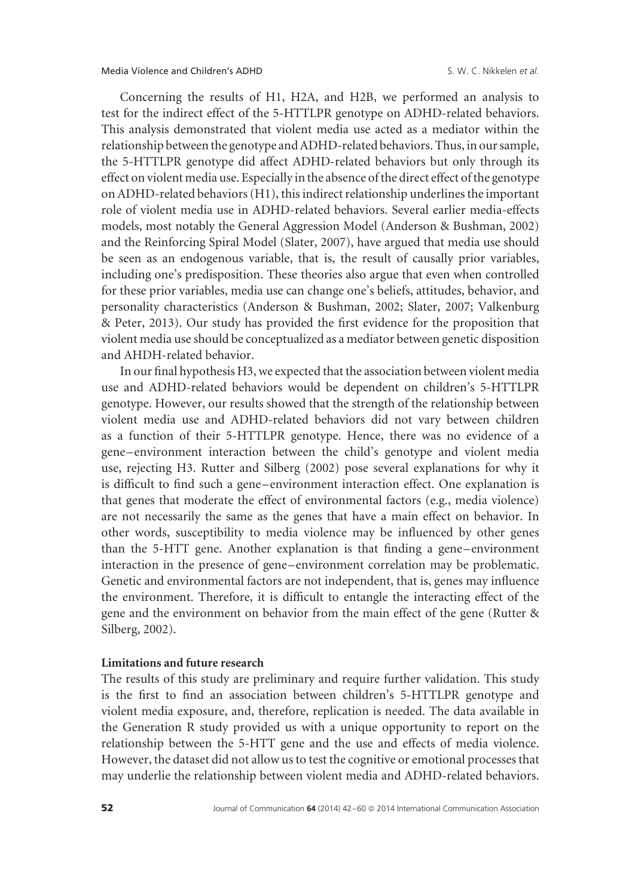Concerning the results of H1, H2A, and H2B, we performed an analysis to test for the indirect effect of the 5-HTTLPR genotype on ADHD-related behaviors. This analysis demonstrated that violent media use acted as a mediator within the relationship between the genotype and ADHD-related behaviors. Thus, in our sample, the 5-HTTLPR genotype did affect ADHD-related behaviors but only through its effect on violent media use. Especially in the absence of the direct effect of the genotype on ADHD-related behaviors (H1), this indirect relationship underlines the important role of violent media use in ADHD-related behaviors. Several earlier media-effects models, most notably the General Aggression Model (Anderson & Bushman, 2002) and the Reinforcing Spiral Model (Slater, 2007), have argued that media use should be seen as an endogenous variable, that is, the result of causally prior variables, including one's predisposition. These theories also argue that even when controlled for these prior variables, media use can change one's beliefs, attitudes, behavior, and personality characteristics (Anderson & Bushman, 2002; Slater, 2007; Valkenburg & Peter, 2013). Our study has provided the first evidence for the proposition that violent media use should be conceptualized as a mediator between genetic disposition and AHDH-related behavior.

In our final hypothesis H3, we expected that the association between violent media use and ADHD-related behaviors would be dependent on children's 5-HTTLPR genotype. However, our results showed that the strength of the relationship between violent media use and ADHD-related behaviors did not vary between children as a function of their 5-HTTLPR genotype. Hence, there was no evidence of a gene–environment interaction between the child's genotype and violent media use, rejecting H3. Rutter and Silberg (2002) pose several explanations for why it is difficult to find such a gene–environment interaction effect. One explanation is that genes that moderate the effect of environmental factors (e.g., media violence) are not necessarily the same as the genes that have a main effect on behavior. In other words, susceptibility to media violence may be influenced by other genes than the 5-HTT gene. Another explanation is that finding a gene–environment interaction in the presence of gene–environment correlation may be problematic. Genetic and environmental factors are not independent, that is, genes may influence the environment. Therefore, it is difficult to entangle the interacting effect of the gene and the environment on behavior from the main effect of the gene (Rutter & Silberg, 2002).

# **Limitations and future research**

The results of this study are preliminary and require further validation. This study is the first to find an association between children's 5-HTTLPR genotype and violent media exposure, and, therefore, replication is needed. The data available in the Generation R study provided us with a unique opportunity to report on the relationship between the 5-HTT gene and the use and effects of media violence. However, the dataset did not allow us to test the cognitive or emotional processes that may underlie the relationship between violent media and ADHD-related behaviors.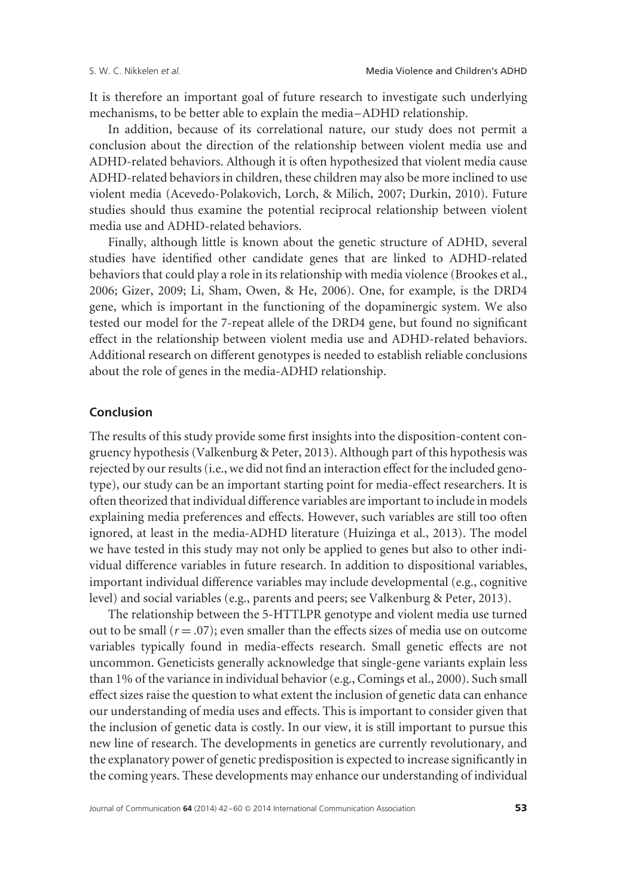It is therefore an important goal of future research to investigate such underlying mechanisms, to be better able to explain the media–ADHD relationship.

In addition, because of its correlational nature, our study does not permit a conclusion about the direction of the relationship between violent media use and ADHD-related behaviors. Although it is often hypothesized that violent media cause ADHD-related behaviors in children, these children may also be more inclined to use violent media (Acevedo-Polakovich, Lorch, & Milich, 2007; Durkin, 2010). Future studies should thus examine the potential reciprocal relationship between violent media use and ADHD-related behaviors.

Finally, although little is known about the genetic structure of ADHD, several studies have identified other candidate genes that are linked to ADHD-related behaviors that could play a role in its relationship with media violence (Brookes et al., 2006; Gizer, 2009; Li, Sham, Owen, & He, 2006). One, for example, is the DRD4 gene, which is important in the functioning of the dopaminergic system. We also tested our model for the 7-repeat allele of the DRD4 gene, but found no significant effect in the relationship between violent media use and ADHD-related behaviors. Additional research on different genotypes is needed to establish reliable conclusions about the role of genes in the media-ADHD relationship.

# **Conclusion**

The results of this study provide some first insights into the disposition-content congruency hypothesis (Valkenburg & Peter, 2013). Although part of this hypothesis was rejected by our results (i.e., we did not find an interaction effect for the included genotype), our study can be an important starting point for media-effect researchers. It is often theorized that individual difference variables are important to include in models explaining media preferences and effects. However, such variables are still too often ignored, at least in the media-ADHD literature (Huizinga et al., 2013). The model we have tested in this study may not only be applied to genes but also to other individual difference variables in future research. In addition to dispositional variables, important individual difference variables may include developmental (e.g., cognitive level) and social variables (e.g., parents and peers; see Valkenburg & Peter, 2013).

The relationship between the 5-HTTLPR genotype and violent media use turned out to be small  $(r = .07)$ ; even smaller than the effects sizes of media use on outcome variables typically found in media-effects research. Small genetic effects are not uncommon. Geneticists generally acknowledge that single-gene variants explain less than 1% of the variance in individual behavior (e.g., Comings et al., 2000). Such small effect sizes raise the question to what extent the inclusion of genetic data can enhance our understanding of media uses and effects. This is important to consider given that the inclusion of genetic data is costly. In our view, it is still important to pursue this new line of research. The developments in genetics are currently revolutionary, and the explanatory power of genetic predisposition is expected to increase significantly in the coming years. These developments may enhance our understanding of individual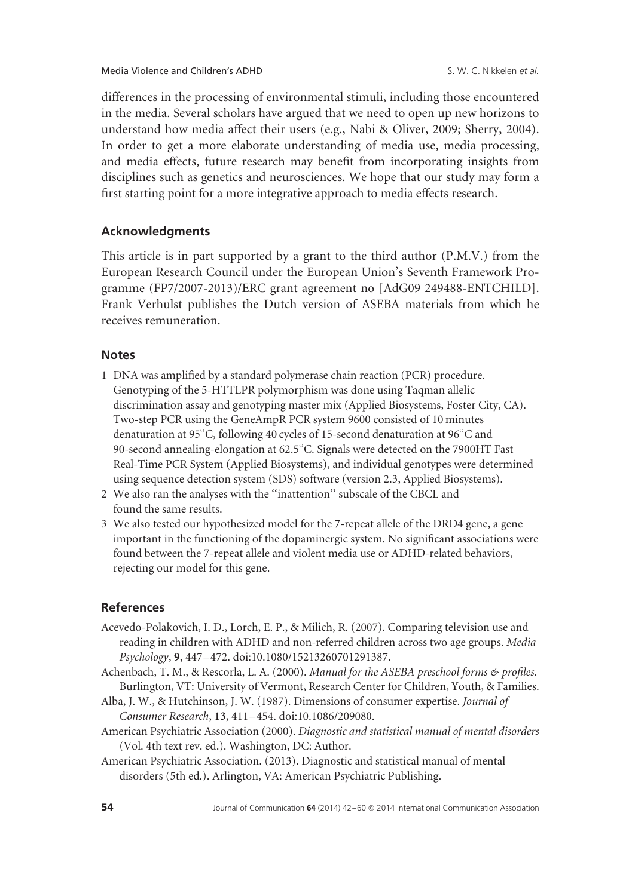differences in the processing of environmental stimuli, including those encountered in the media. Several scholars have argued that we need to open up new horizons to understand how media affect their users (e.g., Nabi & Oliver, 2009; Sherry, 2004). In order to get a more elaborate understanding of media use, media processing, and media effects, future research may benefit from incorporating insights from disciplines such as genetics and neurosciences. We hope that our study may form a first starting point for a more integrative approach to media effects research.

# **Acknowledgments**

This article is in part supported by a grant to the third author (P.M.V.) from the European Research Council under the European Union's Seventh Framework Programme (FP7/2007-2013)/ERC grant agreement no [AdG09 249488-ENTCHILD]. Frank Verhulst publishes the Dutch version of ASEBA materials from which he receives remuneration.

# **Notes**

- 1 DNA was amplified by a standard polymerase chain reaction (PCR) procedure. Genotyping of the 5-HTTLPR polymorphism was done using Taqman allelic discrimination assay and genotyping master mix (Applied Biosystems, Foster City, CA). Two-step PCR using the GeneAmpR PCR system 9600 consisted of 10 minutes denaturation at 95◦ C, following 40 cycles of 15-second denaturation at 96◦ C and 90-second annealing-elongation at 62.5 $^\circ$ C. Signals were detected on the 7900HT Fast Real-Time PCR System (Applied Biosystems), and individual genotypes were determined using sequence detection system (SDS) software (version 2.3, Applied Biosystems).
- 2 We also ran the analyses with the ''inattention'' subscale of the CBCL and found the same results.
- 3 We also tested our hypothesized model for the 7-repeat allele of the DRD4 gene, a gene important in the functioning of the dopaminergic system. No significant associations were found between the 7-repeat allele and violent media use or ADHD-related behaviors, rejecting our model for this gene.

# **References**

- Acevedo-Polakovich, I. D., Lorch, E. P., & Milich, R. (2007). Comparing television use and reading in children with ADHD and non-referred children across two age groups. *Media Psychology*, **9**, 447–472. doi:10.1080/15213260701291387.
- Achenbach, T. M., & Rescorla, L. A. (2000). *Manual for the ASEBA preschool forms & profiles*. Burlington, VT: University of Vermont, Research Center for Children, Youth, & Families.
- Alba, J. W., & Hutchinson, J. W. (1987). Dimensions of consumer expertise. *Journal of Consumer Research*, **13**, 411–454. doi:10.1086/209080.
- American Psychiatric Association (2000). *Diagnostic and statistical manual of mental disorders* (Vol. 4th text rev. ed.). Washington, DC: Author.
- American Psychiatric Association. (2013). Diagnostic and statistical manual of mental disorders (5th ed.). Arlington, VA: American Psychiatric Publishing.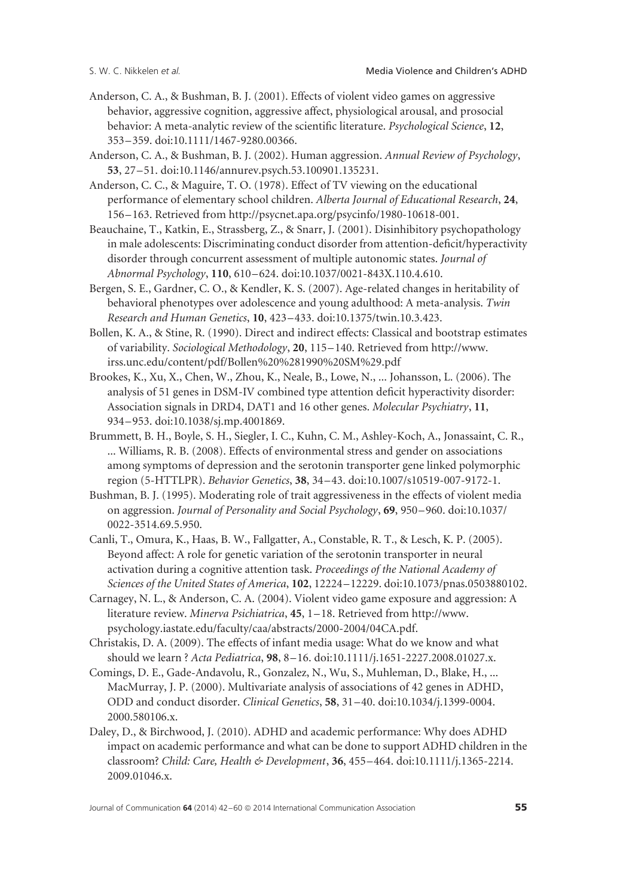- Anderson, C. A., & Bushman, B. J. (2001). Effects of violent video games on aggressive behavior, aggressive cognition, aggressive affect, physiological arousal, and prosocial behavior: A meta-analytic review of the scientific literature. *Psychological Science*, **12**, 353–359. doi:10.1111/1467-9280.00366.
- Anderson, C. A., & Bushman, B. J. (2002). Human aggression. *Annual Review of Psychology*, **53**, 27–51. doi:10.1146/annurev.psych.53.100901.135231.
- Anderson, C. C., & Maguire, T. O. (1978). Effect of TV viewing on the educational performance of elementary school children. *Alberta Journal of Educational Research*, **24**, 156–163. Retrieved from http://psycnet.apa.org/psycinfo/1980-10618-001.
- Beauchaine, T., Katkin, E., Strassberg, Z., & Snarr, J. (2001). Disinhibitory psychopathology in male adolescents: Discriminating conduct disorder from attention-deficit/hyperactivity disorder through concurrent assessment of multiple autonomic states. *Journal of Abnormal Psychology*, **110**, 610–624. doi:10.1037/0021-843X.110.4.610.
- Bergen, S. E., Gardner, C. O., & Kendler, K. S. (2007). Age-related changes in heritability of behavioral phenotypes over adolescence and young adulthood: A meta-analysis. *Twin Research and Human Genetics*, **10**, 423–433. doi:10.1375/twin.10.3.423.
- Bollen, K. A., & Stine, R. (1990). Direct and indirect effects: Classical and bootstrap estimates of variability. *Sociological Methodology*, **20**, 115–140. Retrieved from http://www. irss.unc.edu/content/pdf/Bollen%20%281990%20SM%29.pdf
- Brookes, K., Xu, X., Chen, W., Zhou, K., Neale, B., Lowe, N., ... Johansson, L. (2006). The analysis of 51 genes in DSM-IV combined type attention deficit hyperactivity disorder: Association signals in DRD4, DAT1 and 16 other genes. *Molecular Psychiatry*, **11**, 934–953. doi:10.1038/sj.mp.4001869.
- Brummett, B. H., Boyle, S. H., Siegler, I. C., Kuhn, C. M., Ashley-Koch, A., Jonassaint, C. R., ... Williams, R. B. (2008). Effects of environmental stress and gender on associations among symptoms of depression and the serotonin transporter gene linked polymorphic region (5-HTTLPR). *Behavior Genetics*, **38**, 34–43. doi:10.1007/s10519-007-9172-1.
- Bushman, B. J. (1995). Moderating role of trait aggressiveness in the effects of violent media on aggression. *Journal of Personality and Social Psychology*, **69**, 950–960. doi:10.1037/ 0022-3514.69.5.950.
- Canli, T., Omura, K., Haas, B. W., Fallgatter, A., Constable, R. T., & Lesch, K. P. (2005). Beyond affect: A role for genetic variation of the serotonin transporter in neural activation during a cognitive attention task. *Proceedings of the National Academy of Sciences of the United States of America*, **102**, 12224–12229. doi:10.1073/pnas.0503880102.
- Carnagey, N. L., & Anderson, C. A. (2004). Violent video game exposure and aggression: A literature review. *Minerva Psichiatrica*, **45**, 1–18. Retrieved from http://www. psychology.iastate.edu/faculty/caa/abstracts/2000-2004/04CA.pdf.
- Christakis, D. A. (2009). The effects of infant media usage: What do we know and what should we learn ? *Acta Pediatrica*, **98**, 8–16. doi:10.1111/j.1651-2227.2008.01027.x.
- Comings, D. E., Gade-Andavolu, R., Gonzalez, N., Wu, S., Muhleman, D., Blake, H., ... MacMurray, J. P. (2000). Multivariate analysis of associations of 42 genes in ADHD, ODD and conduct disorder. *Clinical Genetics*, **58**, 31–40. doi:10.1034/j.1399-0004. 2000.580106.x.
- Daley, D., & Birchwood, J. (2010). ADHD and academic performance: Why does ADHD impact on academic performance and what can be done to support ADHD children in the classroom? *Child: Care, Health & Development*, **36**, 455–464. doi:10.1111/j.1365-2214. 2009.01046.x.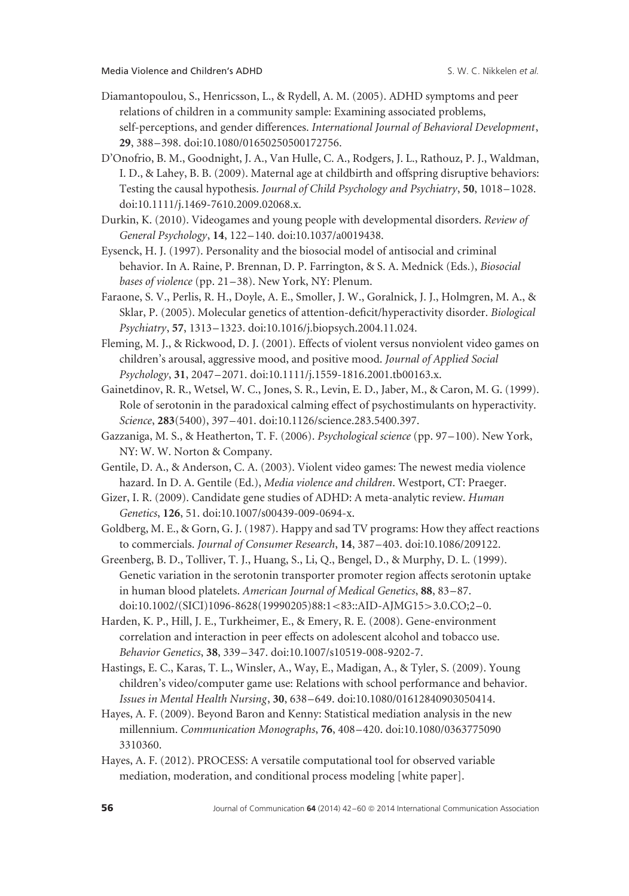- Diamantopoulou, S., Henricsson, L., & Rydell, A. M. (2005). ADHD symptoms and peer relations of children in a community sample: Examining associated problems, self-perceptions, and gender differences. *International Journal of Behavioral Development*, **29**, 388–398. doi:10.1080/01650250500172756.
- D'Onofrio, B. M., Goodnight, J. A., Van Hulle, C. A., Rodgers, J. L., Rathouz, P. J., Waldman, I. D., & Lahey, B. B. (2009). Maternal age at childbirth and offspring disruptive behaviors: Testing the causal hypothesis. *Journal of Child Psychology and Psychiatry*, **50**, 1018–1028. doi:10.1111/j.1469-7610.2009.02068.x.
- Durkin, K. (2010). Videogames and young people with developmental disorders. *Review of General Psychology*, **14**, 122–140. doi:10.1037/a0019438.
- Eysenck, H. J. (1997). Personality and the biosocial model of antisocial and criminal behavior. In A. Raine, P. Brennan, D. P. Farrington, & S. A. Mednick (Eds.), *Biosocial bases of violence* (pp. 21–38). New York, NY: Plenum.
- Faraone, S. V., Perlis, R. H., Doyle, A. E., Smoller, J. W., Goralnick, J. J., Holmgren, M. A., & Sklar, P. (2005). Molecular genetics of attention-deficit/hyperactivity disorder. *Biological Psychiatry*, **57**, 1313–1323. doi:10.1016/j.biopsych.2004.11.024.
- Fleming, M. J., & Rickwood, D. J. (2001). Effects of violent versus nonviolent video games on children's arousal, aggressive mood, and positive mood. *Journal of Applied Social Psychology*, **31**, 2047–2071. doi:10.1111/j.1559-1816.2001.tb00163.x.
- Gainetdinov, R. R., Wetsel, W. C., Jones, S. R., Levin, E. D., Jaber, M., & Caron, M. G. (1999). Role of serotonin in the paradoxical calming effect of psychostimulants on hyperactivity. *Science*, **283**(5400), 397–401. doi:10.1126/science.283.5400.397.
- Gazzaniga, M. S., & Heatherton, T. F. (2006). *Psychological science* (pp. 97–100). New York, NY: W. W. Norton & Company.
- Gentile, D. A., & Anderson, C. A. (2003). Violent video games: The newest media violence hazard. In D. A. Gentile (Ed.), *Media violence and children*. Westport, CT: Praeger.
- Gizer, I. R. (2009). Candidate gene studies of ADHD: A meta-analytic review. *Human Genetics*, **126**, 51. doi:10.1007/s00439-009-0694-x.
- Goldberg, M. E., & Gorn, G. J. (1987). Happy and sad TV programs: How they affect reactions to commercials. *Journal of Consumer Research*, **14**, 387–403. doi:10.1086/209122.
- Greenberg, B. D., Tolliver, T. J., Huang, S., Li, Q., Bengel, D., & Murphy, D. L. (1999). Genetic variation in the serotonin transporter promoter region affects serotonin uptake in human blood platelets. *American Journal of Medical Genetics*, **88**, 83–87. doi:10.1002/(SICI)1096-8628(19990205)88:1*<*83::AID-AJMG15*>*3.0.CO;2–0.
- Harden, K. P., Hill, J. E., Turkheimer, E., & Emery, R. E. (2008). Gene-environment correlation and interaction in peer effects on adolescent alcohol and tobacco use. *Behavior Genetics*, **38**, 339–347. doi:10.1007/s10519-008-9202-7.
- Hastings, E. C., Karas, T. L., Winsler, A., Way, E., Madigan, A., & Tyler, S. (2009). Young children's video/computer game use: Relations with school performance and behavior. *Issues in Mental Health Nursing*, **30**, 638–649. doi:10.1080/01612840903050414.
- Hayes, A. F. (2009). Beyond Baron and Kenny: Statistical mediation analysis in the new millennium. *Communication Monographs*, **76**, 408–420. doi:10.1080/0363775090 3310360.
- Hayes, A. F. (2012). PROCESS: A versatile computational tool for observed variable mediation, moderation, and conditional process modeling [white paper].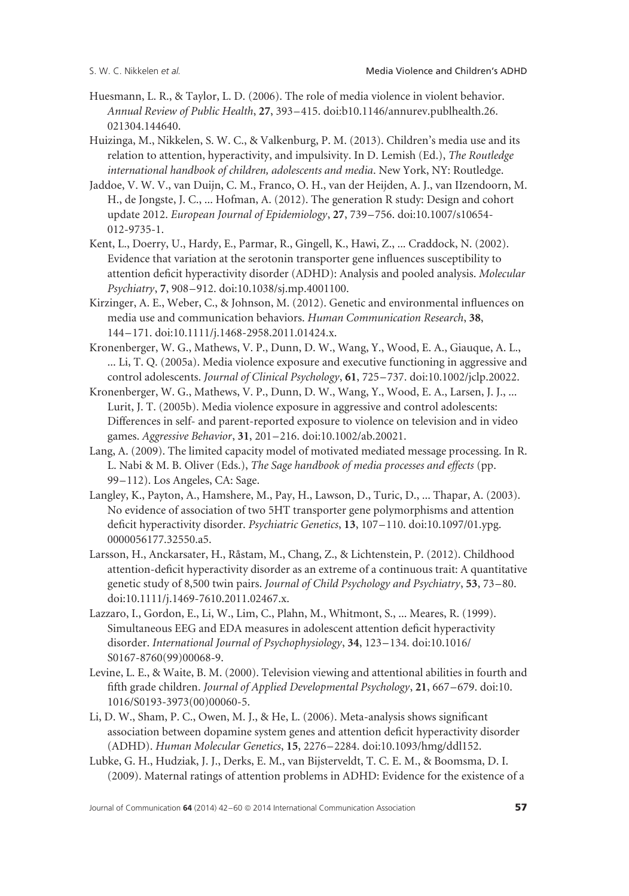- Huesmann, L. R., & Taylor, L. D. (2006). The role of media violence in violent behavior. *Annual Review of Public Health*, **27**, 393–415. doi:b10.1146/annurev.publhealth.26. 021304.144640.
- Huizinga, M., Nikkelen, S. W. C., & Valkenburg, P. M. (2013). Children's media use and its relation to attention, hyperactivity, and impulsivity. In D. Lemish (Ed.), *The Routledge international handbook of children, adolescents and media*. New York, NY: Routledge.
- Jaddoe, V. W. V., van Duijn, C. M., Franco, O. H., van der Heijden, A. J., van IIzendoorn, M. H., de Jongste, J. C., ... Hofman, A. (2012). The generation R study: Design and cohort update 2012. *European Journal of Epidemiology*, **27**, 739–756. doi:10.1007/s10654- 012-9735-1.
- Kent, L., Doerry, U., Hardy, E., Parmar, R., Gingell, K., Hawi, Z., ... Craddock, N. (2002). Evidence that variation at the serotonin transporter gene influences susceptibility to attention deficit hyperactivity disorder (ADHD): Analysis and pooled analysis. *Molecular Psychiatry*, **7**, 908–912. doi:10.1038/sj.mp.4001100.
- Kirzinger, A. E., Weber, C., & Johnson, M. (2012). Genetic and environmental influences on media use and communication behaviors. *Human Communication Research*, **38**, 144–171. doi:10.1111/j.1468-2958.2011.01424.x.
- Kronenberger, W. G., Mathews, V. P., Dunn, D. W., Wang, Y., Wood, E. A., Giauque, A. L., ... Li, T. Q. (2005a). Media violence exposure and executive functioning in aggressive and control adolescents. *Journal of Clinical Psychology*, **61**, 725–737. doi:10.1002/jclp.20022.
- Kronenberger, W. G., Mathews, V. P., Dunn, D. W., Wang, Y., Wood, E. A., Larsen, J. J., ... Lurit, J. T. (2005b). Media violence exposure in aggressive and control adolescents: Differences in self- and parent-reported exposure to violence on television and in video games. *Aggressive Behavior*, **31**, 201–216. doi:10.1002/ab.20021.
- Lang, A. (2009). The limited capacity model of motivated mediated message processing. In R. L. Nabi & M. B. Oliver (Eds.), *The Sage handbook of media processes and effects* (pp. 99–112). Los Angeles, CA: Sage.
- Langley, K., Payton, A., Hamshere, M., Pay, H., Lawson, D., Turic, D., ... Thapar, A. (2003). No evidence of association of two 5HT transporter gene polymorphisms and attention deficit hyperactivity disorder. *Psychiatric Genetics*, **13**, 107–110. doi:10.1097/01.ypg. 0000056177.32550.a5.
- Larsson, H., Anckarsater, H., Råstam, M., Chang, Z., & Lichtenstein, P. (2012). Childhood attention-deficit hyperactivity disorder as an extreme of a continuous trait: A quantitative genetic study of 8,500 twin pairs. *Journal of Child Psychology and Psychiatry*, **53**, 73–80. doi:10.1111/j.1469-7610.2011.02467.x.
- Lazzaro, I., Gordon, E., Li, W., Lim, C., Plahn, M., Whitmont, S., ... Meares, R. (1999). Simultaneous EEG and EDA measures in adolescent attention deficit hyperactivity disorder. *International Journal of Psychophysiology*, **34**, 123–134. doi:10.1016/ S0167-8760(99)00068-9.
- Levine, L. E., & Waite, B. M. (2000). Television viewing and attentional abilities in fourth and fifth grade children. *Journal of Applied Developmental Psychology*, **21**, 667–679. doi:10. 1016/S0193-3973(00)00060-5.
- Li, D. W., Sham, P. C., Owen, M. J., & He, L. (2006). Meta-analysis shows significant association between dopamine system genes and attention deficit hyperactivity disorder (ADHD). *Human Molecular Genetics*, **15**, 2276–2284. doi:10.1093/hmg/ddl152.
- Lubke, G. H., Hudziak, J. J., Derks, E. M., van Bijsterveldt, T. C. E. M., & Boomsma, D. I. (2009). Maternal ratings of attention problems in ADHD: Evidence for the existence of a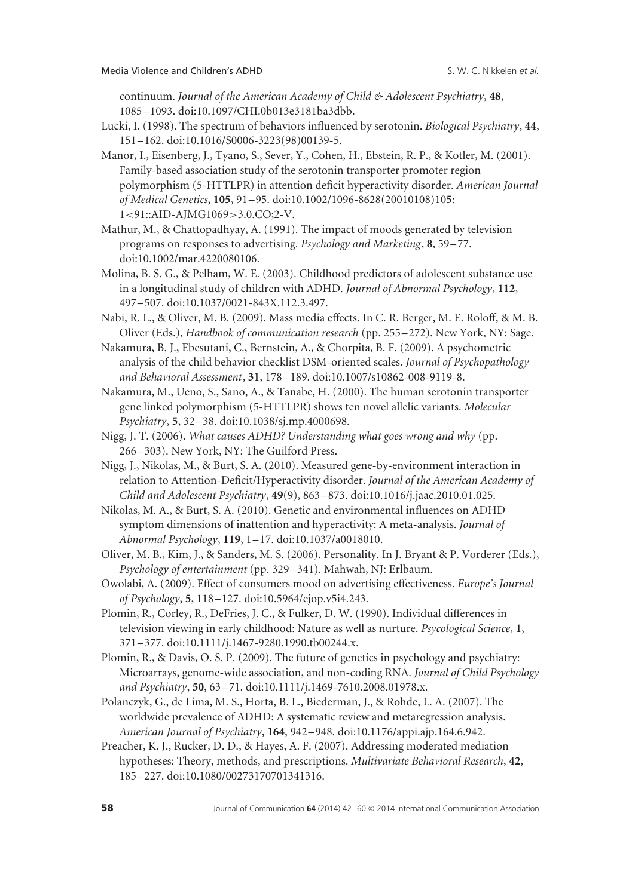continuum. *Journal of the American Academy of Child & Adolescent Psychiatry*, **48**, 1085–1093. doi:10.1097/CHI.0b013e3181ba3dbb.

- Lucki, I. (1998). The spectrum of behaviors influenced by serotonin. *Biological Psychiatry*, **44**, 151–162. doi:10.1016/S0006-3223(98)00139-5.
- Manor, I., Eisenberg, J., Tyano, S., Sever, Y., Cohen, H., Ebstein, R. P., & Kotler, M. (2001). Family-based association study of the serotonin transporter promoter region polymorphism (5-HTTLPR) in attention deficit hyperactivity disorder. *American Journal of Medical Genetics*, **105**, 91–95. doi:10.1002/1096-8628(20010108)105: 1*<*91::AID-AJMG1069*>*3.0.CO;2-V.
- Mathur, M., & Chattopadhyay, A. (1991). The impact of moods generated by television programs on responses to advertising. *Psychology and Marketing*, **8**, 59–77. doi:10.1002/mar.4220080106.
- Molina, B. S. G., & Pelham, W. E. (2003). Childhood predictors of adolescent substance use in a longitudinal study of children with ADHD. *Journal of Abnormal Psychology*, **112**, 497–507. doi:10.1037/0021-843X.112.3.497.
- Nabi, R. L., & Oliver, M. B. (2009). Mass media effects. In C. R. Berger, M. E. Roloff, & M. B. Oliver (Eds.), *Handbook of communication research* (pp. 255–272). New York, NY: Sage.
- Nakamura, B. J., Ebesutani, C., Bernstein, A., & Chorpita, B. F. (2009). A psychometric analysis of the child behavior checklist DSM-oriented scales. *Journal of Psychopathology and Behavioral Assessment*, **31**, 178–189. doi:10.1007/s10862-008-9119-8.
- Nakamura, M., Ueno, S., Sano, A., & Tanabe, H. (2000). The human serotonin transporter gene linked polymorphism (5-HTTLPR) shows ten novel allelic variants. *Molecular Psychiatry*, **5**, 32–38. doi:10.1038/sj.mp.4000698.
- Nigg, J. T. (2006). *What causes ADHD? Understanding what goes wrong and why* (pp. 266–303). New York, NY: The Guilford Press.
- Nigg, J., Nikolas, M., & Burt, S. A. (2010). Measured gene-by-environment interaction in relation to Attention-Deficit/Hyperactivity disorder. *Journal of the American Academy of Child and Adolescent Psychiatry*, **49**(9), 863–873. doi:10.1016/j.jaac.2010.01.025.
- Nikolas, M. A., & Burt, S. A. (2010). Genetic and environmental influences on ADHD symptom dimensions of inattention and hyperactivity: A meta-analysis. *Journal of Abnormal Psychology*, **119**, 1–17. doi:10.1037/a0018010.
- Oliver, M. B., Kim, J., & Sanders, M. S. (2006). Personality. In J. Bryant & P. Vorderer (Eds.), *Psychology of entertainment* (pp. 329–341). Mahwah, NJ: Erlbaum.
- Owolabi, A. (2009). Effect of consumers mood on advertising effectiveness. *Europe's Journal of Psychology*, **5**, 118–127. doi:10.5964/ejop.v5i4.243.
- Plomin, R., Corley, R., DeFries, J. C., & Fulker, D. W. (1990). Individual differences in television viewing in early childhood: Nature as well as nurture. *Psycological Science*, **1**, 371–377. doi:10.1111/j.1467-9280.1990.tb00244.x.
- Plomin, R., & Davis, O. S. P. (2009). The future of genetics in psychology and psychiatry: Microarrays, genome-wide association, and non-coding RNA. *Journal of Child Psychology and Psychiatry*, **50**, 63–71. doi:10.1111/j.1469-7610.2008.01978.x.
- Polanczyk, G., de Lima, M. S., Horta, B. L., Biederman, J., & Rohde, L. A. (2007). The worldwide prevalence of ADHD: A systematic review and metaregression analysis. *American Journal of Psychiatry*, **164**, 942–948. doi:10.1176/appi.ajp.164.6.942.
- Preacher, K. J., Rucker, D. D., & Hayes, A. F. (2007). Addressing moderated mediation hypotheses: Theory, methods, and prescriptions. *Multivariate Behavioral Research*, **42**, 185–227. doi:10.1080/00273170701341316.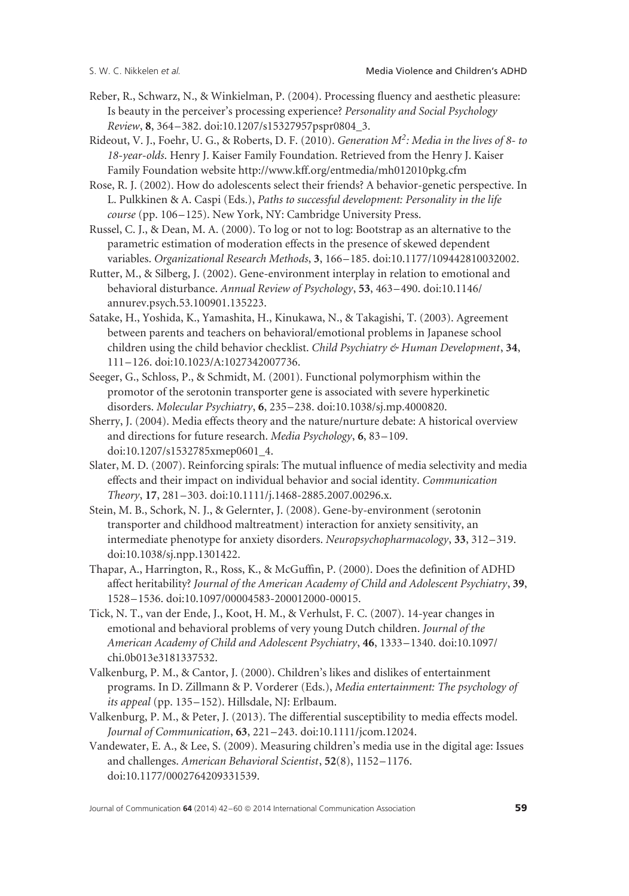- Reber, R., Schwarz, N., & Winkielman, P. (2004). Processing fluency and aesthetic pleasure: Is beauty in the perceiver's processing experience? *Personality and Social Psychology Review*, **8**, 364–382. doi:10.1207/s15327957pspr0804\_3.
- Rideout, V. J., Foehr, U. G., & Roberts, D. F. (2010). *Generation M2: Media in the lives of 8- to 18-year-olds*. Henry J. Kaiser Family Foundation. Retrieved from the Henry J. Kaiser Family Foundation website http://www.kff.org/entmedia/mh012010pkg.cfm
- Rose, R. J. (2002). How do adolescents select their friends? A behavior-genetic perspective. In L. Pulkkinen & A. Caspi (Eds.), *Paths to successful development: Personality in the life course* (pp. 106–125). New York, NY: Cambridge University Press.
- Russel, C. J., & Dean, M. A. (2000). To log or not to log: Bootstrap as an alternative to the parametric estimation of moderation effects in the presence of skewed dependent variables. *Organizational Research Methods*, **3**, 166–185. doi:10.1177/109442810032002.
- Rutter, M., & Silberg, J. (2002). Gene-environment interplay in relation to emotional and behavioral disturbance. *Annual Review of Psychology*, **53**, 463–490. doi:10.1146/ annurev.psych.53.100901.135223.
- Satake, H., Yoshida, K., Yamashita, H., Kinukawa, N., & Takagishi, T. (2003). Agreement between parents and teachers on behavioral/emotional problems in Japanese school children using the child behavior checklist. *Child Psychiatry & Human Development*, **34**, 111–126. doi:10.1023/A:1027342007736.
- Seeger, G., Schloss, P., & Schmidt, M. (2001). Functional polymorphism within the promotor of the serotonin transporter gene is associated with severe hyperkinetic disorders. *Molecular Psychiatry*, **6**, 235–238. doi:10.1038/sj.mp.4000820.
- Sherry, J. (2004). Media effects theory and the nature/nurture debate: A historical overview and directions for future research. *Media Psychology*, **6**, 83–109. doi:10.1207/s1532785xmep0601\_4.
- Slater, M. D. (2007). Reinforcing spirals: The mutual influence of media selectivity and media effects and their impact on individual behavior and social identity. *Communication Theory*, **17**, 281–303. doi:10.1111/j.1468-2885.2007.00296.x.
- Stein, M. B., Schork, N. J., & Gelernter, J. (2008). Gene-by-environment (serotonin transporter and childhood maltreatment) interaction for anxiety sensitivity, an intermediate phenotype for anxiety disorders. *Neuropsychopharmacology*, **33**, 312–319. doi:10.1038/sj.npp.1301422.
- Thapar, A., Harrington, R., Ross, K., & McGuffin, P. (2000). Does the definition of ADHD affect heritability? *Journal of the American Academy of Child and Adolescent Psychiatry*, **39**, 1528–1536. doi:10.1097/00004583-200012000-00015.
- Tick, N. T., van der Ende, J., Koot, H. M., & Verhulst, F. C. (2007). 14-year changes in emotional and behavioral problems of very young Dutch children. *Journal of the American Academy of Child and Adolescent Psychiatry*, **46**, 1333–1340. doi:10.1097/ chi.0b013e3181337532.
- Valkenburg, P. M., & Cantor, J. (2000). Children's likes and dislikes of entertainment programs. In D. Zillmann & P. Vorderer (Eds.), *Media entertainment: The psychology of its appeal* (pp. 135–152). Hillsdale, NJ: Erlbaum.
- Valkenburg, P. M., & Peter, J. (2013). The differential susceptibility to media effects model. *Journal of Communication*, **63**, 221–243. doi:10.1111/jcom.12024.
- Vandewater, E. A., & Lee, S. (2009). Measuring children's media use in the digital age: Issues and challenges. *American Behavioral Scientist*, **52**(8), 1152–1176. doi:10.1177/0002764209331539.